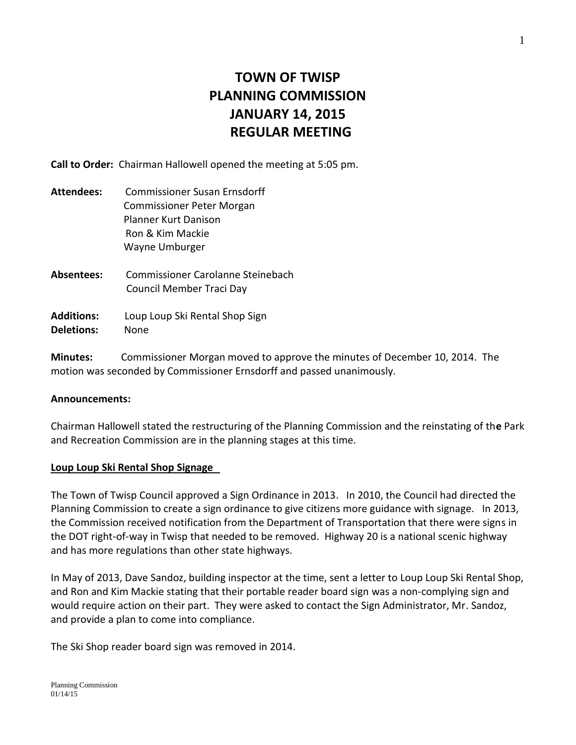# **TOWN OF TWISP PLANNING COMMISSION JANUARY 14, 2015 REGULAR MEETING**

**Call to Order:** Chairman Hallowell opened the meeting at 5:05 pm.

| <b>Attendees:</b>                      | Commissioner Susan Frnsdorff<br><b>Commissioner Peter Morgan</b><br>Planner Kurt Danison<br>Ron & Kim Mackie<br>Wayne Umburger |
|----------------------------------------|--------------------------------------------------------------------------------------------------------------------------------|
| Absentees:                             | Commissioner Carolanne Steinebach<br>Council Member Traci Day                                                                  |
| <b>Additions:</b><br><b>Deletions:</b> | Loup Loup Ski Rental Shop Sign<br>None                                                                                         |

**Minutes:** Commissioner Morgan moved to approve the minutes of December 10, 2014. The motion was seconded by Commissioner Ernsdorff and passed unanimously.

### **Announcements:**

Chairman Hallowell stated the restructuring of the Planning Commission and the reinstating of th**e** Park and Recreation Commission are in the planning stages at this time.

### **Loup Loup Ski Rental Shop Signage**

The Town of Twisp Council approved a Sign Ordinance in 2013. In 2010, the Council had directed the Planning Commission to create a sign ordinance to give citizens more guidance with signage. In 2013, the Commission received notification from the Department of Transportation that there were signs in the DOT right-of-way in Twisp that needed to be removed. Highway 20 is a national scenic highway and has more regulations than other state highways.

In May of 2013, Dave Sandoz, building inspector at the time, sent a letter to Loup Loup Ski Rental Shop, and Ron and Kim Mackie stating that their portable reader board sign was a non-complying sign and would require action on their part. They were asked to contact the Sign Administrator, Mr. Sandoz, and provide a plan to come into compliance.

The Ski Shop reader board sign was removed in 2014.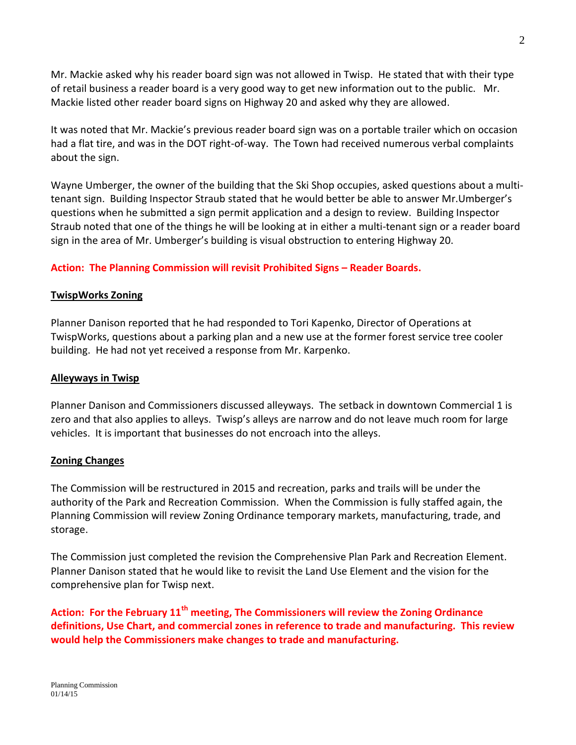Mr. Mackie asked why his reader board sign was not allowed in Twisp. He stated that with their type of retail business a reader board is a very good way to get new information out to the public. Mr. Mackie listed other reader board signs on Highway 20 and asked why they are allowed.

It was noted that Mr. Mackie's previous reader board sign was on a portable trailer which on occasion had a flat tire, and was in the DOT right-of-way. The Town had received numerous verbal complaints about the sign.

Wayne Umberger, the owner of the building that the Ski Shop occupies, asked questions about a multitenant sign. Building Inspector Straub stated that he would better be able to answer Mr.Umberger's questions when he submitted a sign permit application and a design to review. Building Inspector Straub noted that one of the things he will be looking at in either a multi-tenant sign or a reader board sign in the area of Mr. Umberger's building is visual obstruction to entering Highway 20.

# Action: The Planning Commission will revisit Prohibited Signs – Reader Boards.

# **TwispWorks Zoning**

Planner Danison reported that he had responded to Tori Kapenko, Director of Operations at TwispWorks, questions about a parking plan and a new use at the former forest service tree cooler building. He had not yet received a response from Mr. Karpenko.

## **Alleyways in Twisp**

Planner Danison and Commissioners discussed alleyways. The setback in downtown Commercial 1 is zero and that also applies to alleys. Twisp's alleys are narrow and do not leave much room for large vehicles. It is important that businesses do not encroach into the alleys.

# **Zoning Changes**

The Commission will be restructured in 2015 and recreation, parks and trails will be under the authority of the Park and Recreation Commission. When the Commission is fully staffed again, the Planning Commission will review Zoning Ordinance temporary markets, manufacturing, trade, and storage.

The Commission just completed the revision the Comprehensive Plan Park and Recreation Element. Planner Danison stated that he would like to revisit the Land Use Element and the vision for the comprehensive plan for Twisp next.

**Action: For the February 11th meeting, The Commissioners will review the Zoning Ordinance definitions, Use Chart, and commercial zones in reference to trade and manufacturing. This review would help the Commissioners make changes to trade and manufacturing.**